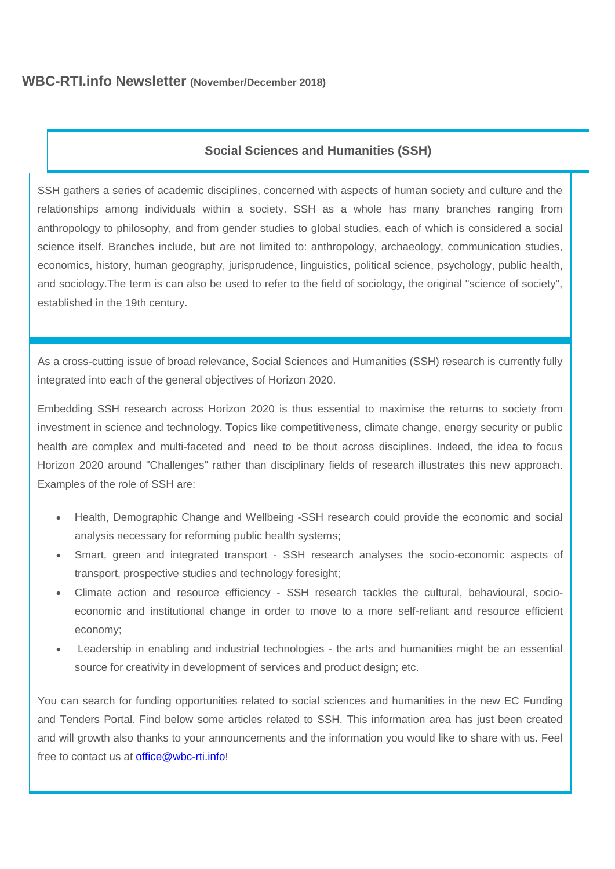# **WBC-RTI.info Newsletter (November/December 2018)**

# **Social Sciences and Humanities (SSH)**

SSH gathers a series of academic disciplines, concerned with aspects of human society and culture and the relationships among individuals within a society. SSH as a whole has many branches ranging from anthropology to philosophy, and from gender studies to global studies, each of which is considered a social science itself. Branches include, but are not limited to: anthropology, archaeology, communication studies, economics, history, human geography, jurisprudence, linguistics, political science, psychology, public health, and sociology.The term is can also be used to refer to the field of sociology, the original "science of society", established in the 19th century.

As a cross-cutting issue of broad relevance, Social Sciences and Humanities (SSH) research is currently fully integrated into each of the general objectives of Horizon 2020.

Embedding SSH research across Horizon 2020 is thus essential to maximise the returns to society from investment in science and technology. Topics like competitiveness, climate change, energy security or public health are complex and multi-faceted and need to be thout across disciplines. Indeed, the idea to focus Horizon 2020 around "Challenges" rather than disciplinary fields of research illustrates this new approach. Examples of the role of SSH are:

- Health, Demographic Change and Wellbeing -SSH research could provide the economic and social analysis necessary for reforming public health systems;
- Smart, green and integrated transport SSH research analyses the socio-economic aspects of transport, prospective studies and technology foresight;
- Climate action and resource efficiency SSH research tackles the cultural, behavioural, socioeconomic and institutional change in order to move to a more self-reliant and resource efficient economy;
- Leadership in enabling and industrial technologies the arts and humanities might be an essential source for creativity in development of services and product design; etc.

You can search for funding opportunities related to social sciences and humanities in the new EC Funding and Tenders Portal. Find below some articles related to SSH. This information area has just been created and will growth also thanks to your announcements and the information you would like to share with us. Feel free to contact us at [office@wbc-rti.info!](mailto:office@wbc-rti.info)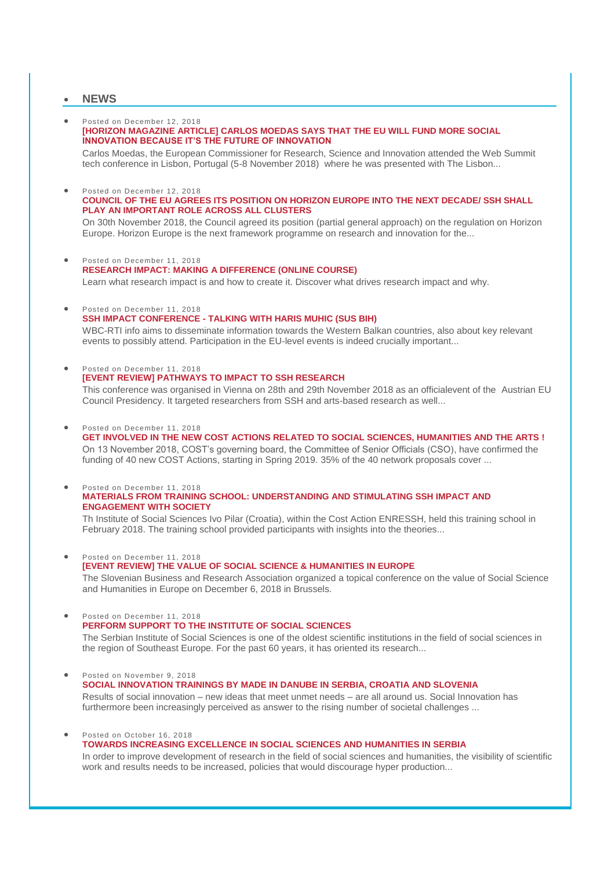## **NEWS**

#### Posted on December 12, 2018 **[\[HORIZON MAGAZINE ARTICLE\] CARLOS MOEDAS SAYS THAT THE EU WILL FUND MORE SOCIAL](https://wbc-rti.info/object/news/19668)  [INNOVATION BECAUSE IT'S THE FUTURE OF INNOVATION](https://wbc-rti.info/object/news/19668)**

Carlos Moedas, the European Commissioner for Research, Science and Innovation attended the Web Summit tech conference in Lisbon, Portugal (5-8 November 2018) where he was presented with The Lisbon...

### Posted on December 12, 2018

#### **[COUNCIL OF THE EU AGREES ITS POSITION ON HORIZON EUROPE INTO THE NEXT DECADE/ SSH SHALL](https://wbc-rti.info/object/news/19666)  [PLAY AN IMPORTANT ROLE ACROSS ALL CLUSTERS](https://wbc-rti.info/object/news/19666)**

On 30th November 2018, the Council agreed its position (partial general approach) on the regulation on Horizon Europe. Horizon Europe is the next framework programme on research and innovation for the...

- Posted on December 11, 2018 **[RESEARCH IMPACT: MAKING A DIFFERENCE \(ONLINE COURSE\)](https://wbc-rti.info/object/news/19660)** Learn what research impact is and how to create it. Discover what drives research impact and why.
- **•** Posted on December 11, 2018

#### **SSH IMPACT CONFERENCE - [TALKING WITH HARIS MUHIC \(SUS BIH\)](https://wbc-rti.info/object/news/19658)**

WBC-RTI info aims to disseminate information towards the Western Balkan countries, also about key relevant events to possibly attend. Participation in the EU-level events is indeed crucially important...

 Posted on December 11, 2018 **[\[EVENT REVIEW\] PATHWAYS TO IMPACT TO SSH RESEARCH](https://wbc-rti.info/object/news/19657)**

This conference was organised in Vienna on 28th and 29th November 2018 as an officialevent of the Austrian EU Council Presidency. It targeted researchers from SSH and arts-based research as well...

Posted on December 11, 2018

**[GET INVOLVED IN THE NEW COST ACTIONS RELATED TO SOCIAL SCIENCES, HUMANITIES AND THE ARTS !](https://wbc-rti.info/object/news/19655)** On 13 November 2018, COST's governing board, the Committee of Senior Officials (CSO), have confirmed the funding of 40 new COST Actions, starting in Spring 2019. 35% of the 40 network proposals cover ...

 Posted on December 11, 2018 **[MATERIALS FROM TRAINING SCHOOL: UNDERSTANDING AND STIMULATING SSH IMPACT AND](https://wbc-rti.info/object/news/19652)  [ENGAGEMENT WITH SOCIETY](https://wbc-rti.info/object/news/19652)**

Th Institute of Social Sciences Ivo Pilar (Croatia), within the Cost Action ENRESSH, held this training school in February 2018. The training school provided participants with insights into the theories...

Posted on December 11, 2018

**[\[EVENT REVIEW\] THE VALUE OF SOCIAL SCIENCE & HUMANITIES IN EUROPE](https://wbc-rti.info/object/news/19650)** The Slovenian Business and Research Association organized a topical conference on the value of Social Science and Humanities in Europe on December 6, 2018 in Brussels.

Posted on December 11, 2018

**[PERFORM SUPPORT TO THE INSTITUTE OF SOCIAL SCIENCES](https://wbc-rti.info/object/news/19645)**

The Serbian Institute of Social Sciences is one of the oldest scientific institutions in the field of social sciences in the region of Southeast Europe. For the past 60 years, it has oriented its research...

 Posted on November 9, 2018 **[SOCIAL INNOVATION TRAININGS BY MADE IN DANUBE IN SERBIA, CROATIA AND SLOVENIA](https://wbc-rti.info/object/news/19577)** Results of social innovation – new ideas that meet unmet needs – are all around us. Social Innovation has furthermore been increasingly perceived as answer to the rising number of societal challenges ...

Posted on October 16, 2018

#### **[TOWARDS INCREASING EXCELLENCE IN SOCIAL SCIENCES AND HUMANITIES IN SERBIA](https://wbc-rti.info/object/news/19570)**

In order to improve development of research in the field of social sciences and humanities, the visibility of scientific work and results needs to be increased, policies that would discourage hyper production...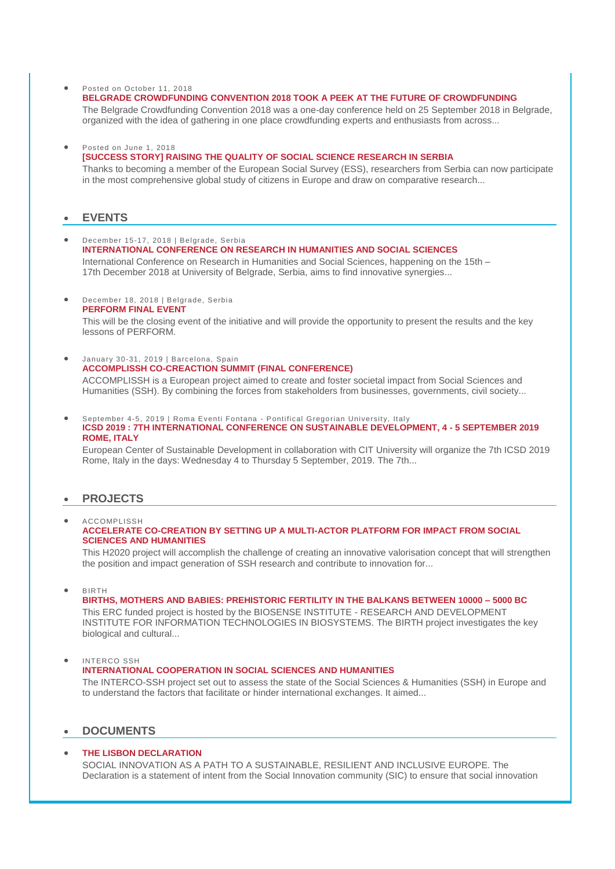#### ● Posted on October 11, 2018

### **[BELGRADE CROWDFUNDING CONVENTION 2018 TOOK A PEEK AT THE FUTURE OF CROWDFUNDING](https://wbc-rti.info/object/news/17992)**

The Belgrade Crowdfunding Convention 2018 was a one-day conference held on 25 September 2018 in Belgrade, organized with the idea of gathering in one place crowdfunding experts and enthusiasts from across...

#### Posted on June 1, 2018

#### **[\[SUCCESS STORY\] RAISING THE QUALITY OF SOCIAL SCIENCE RESEARCH IN SERBIA](https://wbc-rti.info/object/news/17175)**

Thanks to becoming a member of the European Social Survey (ESS), researchers from Serbia can now participate in the most comprehensive global study of citizens in Europe and draw on comparative research...

## **EVENTS**

- December 15-17, 2018 | Belgrade, Serbia **[INTERNATIONAL CONFERENCE ON RESEARCH IN HUMANITIES AND SOCIAL SCIENCES](https://wbc-rti.info/object/event/19661)** International Conference on Research in Humanities and Social Sciences, happening on the 15th – 17th December 2018 at University of Belgrade, Serbia, aims to find innovative synergies...
- December 18, 2018 | Belgrade, Serbia **[PERFORM FINAL EVENT](https://wbc-rti.info/object/event/19646)**

This will be the closing event of the initiative and will provide the opportunity to present the results and the key lessons of PERFORM.

- January 30-31, 2019 | Barcelona, Spain **[ACCOMPLISSH CO-CREACTION SUMMIT \(FINAL CONFERENCE\)](https://wbc-rti.info/object/event/19654)** ACCOMPLISSH is a European project aimed to create and foster societal impact from Social Sciences and Humanities (SSH). By combining the forces from stakeholders from businesses, governments, civil society...
- September 4-5, 2019 | Roma Eventi Fontana Pontifical Gregorian University, Ital y **[ICSD 2019 : 7TH INTERNATIONAL CONFERENCE ON SUSTAINABLE DEVELOPMENT, 4 -](https://wbc-rti.info/object/event/16629) 5 SEPTEMBER 2019 [ROME, ITALY](https://wbc-rti.info/object/event/16629)**

European Center of Sustainable Development in collaboration with CIT University will organize the 7th ICSD 2019 Rome, Italy in the days: Wednesday 4 to Thursday 5 September, 2019. The 7th...

#### **PROJECTS**

 ACCOMPLISSH **[ACCELERATE CO-CREATION BY SETTING UP A MULTI-ACTOR PLATFORM FOR IMPACT FROM SOCIAL](https://wbc-rti.info/object/project/19653)  [SCIENCES AND HUMANITIES](https://wbc-rti.info/object/project/19653)**

This H2020 project will accomplish the challenge of creating an innovative valorisation concept that will strengthen the position and impact generation of SSH research and contribute to innovation for...

BIRTH

#### **[BIRTHS, MOTHERS AND BABIES: PREHISTORIC FERTILITY IN THE BALKANS BETWEEN 10000 –](https://wbc-rti.info/object/project/19649) 5000 BC**

This ERC funded project is hosted by the BIOSENSE INSTITUTE - RESEARCH AND DEVELOPMENT INSTITUTE FOR INFORMATION TECHNOLOGIES IN BIOSYSTEMS. The BIRTH project investigates the key biological and cultural...

INTERCO SSH

#### **[INTERNATIONAL COOPERATION IN SOCIAL SCIENCES AND HUMANITIES](https://wbc-rti.info/object/project/19643)**

The INTERCO-SSH project set out to assess the state of the Social Sciences & Humanities (SSH) in Europe and to understand the factors that facilitate or hinder international exchanges. It aimed...

## **DOCUMENTS**

## **[THE LISBON DECLARATION](https://wbc-rti.info/object/document/19667)**

SOCIAL INNOVATION AS A PATH TO A SUSTAINABLE, RESILIENT AND INCLUSIVE EUROPE. The Declaration is a statement of intent from the Social Innovation community (SIC) to ensure that social innovation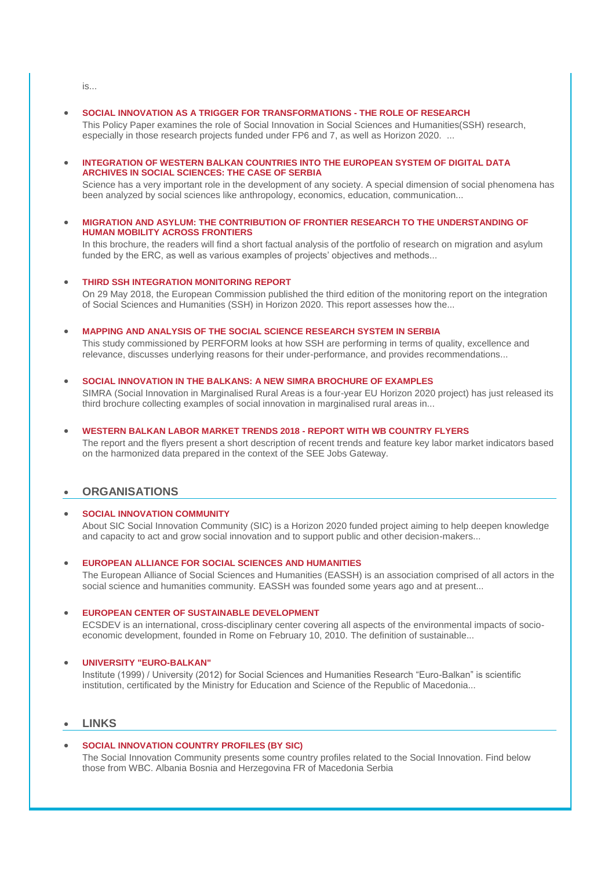is...

#### **[SOCIAL INNOVATION AS A TRIGGER FOR TRANSFORMATIONS -](https://wbc-rti.info/object/document/19663) THE ROLE OF RESEARCH**

This Policy Paper examines the role of Social Innovation in Social Sciences and Humanities(SSH) research, especially in those research projects funded under FP6 and 7, as well as Horizon 2020. ...

 **[INTEGRATION OF WESTERN BALKAN COUNTRIES INTO THE EUROPEAN SYSTEM OF DIGITAL DATA](https://wbc-rti.info/object/document/19662)  [ARCHIVES IN SOCIAL SCIENCES: THE CASE OF SERBIA](https://wbc-rti.info/object/document/19662)** 

Science has a very important role in the development of any society. A special dimension of social phenomena has been analyzed by social sciences like anthropology, economics, education, communication...

#### **[MIGRATION AND ASYLUM: THE CONTRIBUTION OF FRONTIER RESEARCH TO THE UNDERSTANDING OF](https://wbc-rti.info/object/document/19648)  [HUMAN MOBILITY ACROSS FRONTIERS](https://wbc-rti.info/object/document/19648)**

In this brochure, the readers will find a short factual analysis of the portfolio of research on migration and asylum funded by the ERC, as well as various examples of projects' objectives and methods...

#### **[THIRD SSH INTEGRATION MONITORING REPORT](https://wbc-rti.info/object/document/19647)**

On 29 May 2018, the European Commission published the third edition of the monitoring report on the integration of Social Sciences and Humanities (SSH) in Horizon 2020. This report assesses how the...

**[MAPPING AND ANALYSIS OF THE SOCIAL SCIENCE RESEARCH SYSTEM IN SERBIA](https://wbc-rti.info/object/document/19644)**

This study commissioned by PERFORM looks at how SSH are performing in terms of quality, excellence and relevance, discusses underlying reasons for their under-performance, and provides recommendations...

**[SOCIAL INNOVATION IN THE BALKANS: A NEW SIMRA BROCHURE OF EXAMPLES](https://wbc-rti.info/object/document/19609)** 

SIMRA (Social Innovation in Marginalised Rural Areas is a four-year EU Horizon 2020 project) has just released its third brochure collecting examples of social innovation in marginalised rural areas in...

#### **[WESTERN BALKAN LABOR MARKET TRENDS 2018 -](https://wbc-rti.info/object/document/17106) REPORT WITH WB COUNTRY FLYERS**

The report and the flyers present a short description of recent trends and feature key labor market indicators based on the harmonized data prepared in the context of the SEE Jobs Gateway.

# **ORGANISATIONS**

### **[SOCIAL INNOVATION COMMUNITY](https://wbc-rti.info/object/organisation/19669)**

About SIC Social Innovation Community (SIC) is a Horizon 2020 funded project aiming to help deepen knowledge and capacity to act and grow social innovation and to support public and other decision-makers...

### **[EUROPEAN ALLIANCE FOR SOCIAL SCIENCES AND HUMANITIES](https://wbc-rti.info/object/organisation/19641)**

The European Alliance of Social Sciences and Humanities (EASSH) is an association comprised of all actors in the social science and humanities community. EASSH was founded some years ago and at present...

#### **[EUROPEAN CENTER OF SUSTAINABLE DEVELOPMENT](https://wbc-rti.info/object/organisation/16631)**

ECSDEV is an international, cross-disciplinary center covering all aspects of the environmental impacts of socioeconomic development, founded in Rome on February 10, 2010. The definition of sustainable...

### **[UNIVERSITY "EURO-BALKAN"](https://wbc-rti.info/object/organisation/15099)**

Institute (1999) / University (2012) for Social Sciences and Humanities Research "Euro-Balkan" is scientific institution, certificated by the Ministry for Education and Science of the Republic of Macedonia...

## **LINKS**

### **[SOCIAL INNOVATION COUNTRY PROFILES \(BY SIC\)](https://wbc-rti.info/object/link/19671)**

The Social Innovation Community presents some country profiles related to the Social Innovation. Find below those from WBC. Albania Bosnia and Herzegovina FR of Macedonia Serbia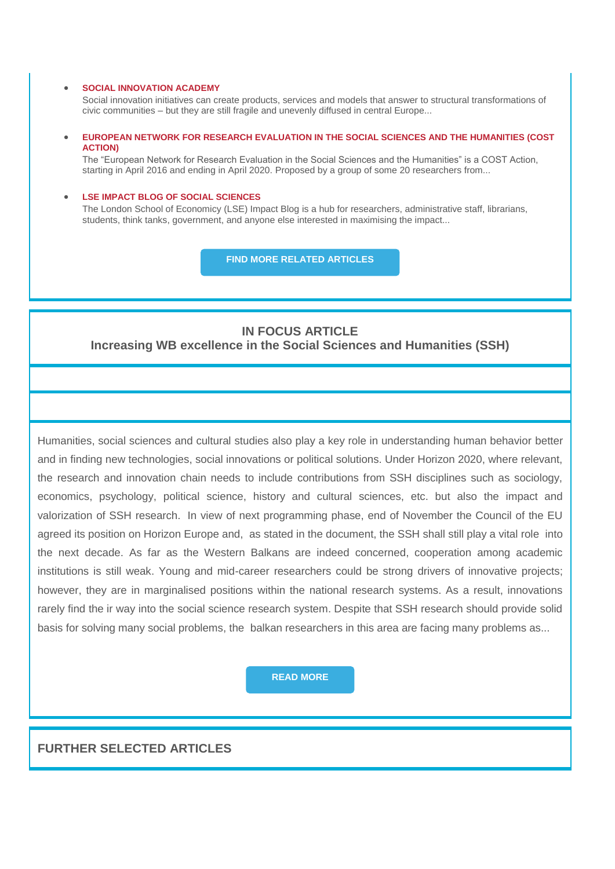#### **[SOCIAL INNOVATION ACADEMY](https://wbc-rti.info/object/link/19670)**

Social innovation initiatives can create products, services and models that answer to structural transformations of civic communities – but they are still fragile and unevenly diffused in central Europe...

## **[EUROPEAN NETWORK FOR RESEARCH EVALUATION IN THE SOCIAL SCIENCES AND THE HUMANITIES \(COST](https://wbc-rti.info/object/link/19651)  [ACTION\)](https://wbc-rti.info/object/link/19651)**

The "European Network for Research Evaluation in the Social Sciences and the Humanities" is a COST Action, starting in April 2016 and ending in April 2020. Proposed by a group of some 20 researchers from...

#### **[LSE IMPACT BLOG OF SOCIAL SCIENCES](https://wbc-rti.info/object/link/19642)**

The London School of Economicy (LSE) Impact Blog is a hub for researchers, administrative staff, librarians, students, think tanks, government, and anyone else interested in maximising the impact...

**[FIND MORE RELATED ARTICLES](https://wbc-rti.info/theme/39)**

# **IN FOCUS ARTICLE**

**Increasing WB excellence in the Social Sciences and Humanities (SSH)**

Humanities, social sciences and cultural studies also play a key role in understanding human behavior better and in finding new technologies, social innovations or political solutions. Under Horizon 2020, where relevant, the research and innovation chain needs to include contributions from SSH disciplines such as sociology, economics, psychology, political science, history and cultural sciences, etc. but also the impact and valorization of SSH research. In view of next programming phase, end of November the Council of the EU agreed its position on Horizon Europe and, as stated in the document, the SSH shall still play a vital role into the next decade. As far as the Western Balkans are indeed concerned, cooperation among academic institutions is still weak. Young and mid-career researchers could be strong drivers of innovative projects; however, they are in marginalised positions within the national research systems. As a result, innovations rarely find the ir way into the social science research system. Despite that SSH research should provide solid basis for solving many social problems, the balkan researchers in this area are facing many problems as...

## **[READ MORE](https://wbc-rti.info/in_focus)**

# **FURTHER SELECTED ARTICLES**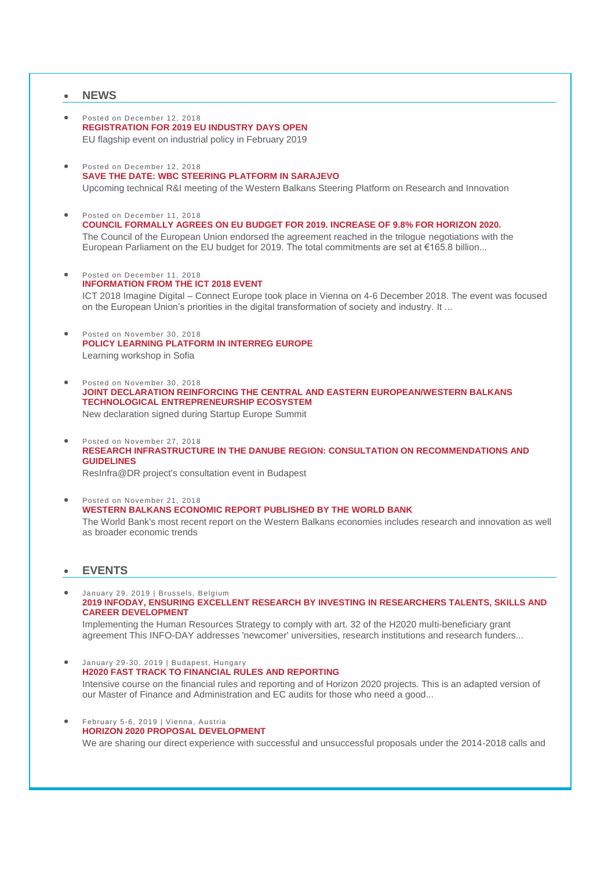### **NEWS**

- Posted on December 12, 2018 **[REGISTRATION FOR 2019 EU INDUSTRY DAYS OPEN](https://wbc-rti.info/object/news/19672)** EU flagship event on industrial policy in February 2019
- Posted on December 12, 2018 **[SAVE THE DATE: WBC STEERING PLATFORM IN SARAJEVO](https://wbc-rti.info/object/news/19665)** Upcoming technical R&I meeting of the Western Balkans Steering Platform on Research and Innovation
- Posted on December 11, 2018 **[COUNCIL FORMALLY AGREES ON EU BUDGET FOR 2019. INCREASE OF 9.8% FOR HORIZON 2020.](https://wbc-rti.info/object/news/19659)** The Council of the European Union endorsed the agreement reached in the trilogue negotiations with the European Parliament on the EU budget for 2019. The total commitments are set at €165.8 billion...
- Posted on December 11, 2018 **[INFORMATION FROM THE ICT 2018 EVENT](https://wbc-rti.info/object/news/19656)** ICT 2018 Imagine Digital – Connect Europe took place in Vienna on 4-6 December 2018. The event was focused on the European Union's priorities in the digital transformation of society and industry. It ...
- Posted on November 30, 2018 **[POLICY LEARNING PLATFORM IN INTERREG EUROPE](https://wbc-rti.info/object/news/19639)** Learning workshop in Sofia
- Posted on November 30, 2018 **[JOINT DECLARATION REINFORCING THE CENTRAL AND EASTERN EUROPEAN/WESTERN BALKANS](https://wbc-rti.info/object/news/19638)  [TECHNOLOGICAL ENTREPRENEURSHIP ECOSYSTEM](https://wbc-rti.info/object/news/19638)** New declaration signed during Startup Europe Summit
- Posted on November 27, 2018 **[RESEARCH INFRASTRUCTURE IN THE DANUBE REGION: CONSULTATION ON RECOMMENDATIONS AND](https://wbc-rti.info/object/news/19637)  [GUIDELINES](https://wbc-rti.info/object/news/19637)** ResInfra@DR project's consultation event in Budapest
- Posted on November 21, 2018 **[WESTERN BALKANS ECONOMIC REPORT PUBLISHED BY THE WORLD BANK](https://wbc-rti.info/object/news/19631)** The World Bank's most recent report on the Western Balkans economies includes research and innovation as well as broader economic trends

## **EVENTS**

January 29-30, 2019 | Budapest, Hungary

- January 29, 2019 | Brussels, Belgium **[2019 INFODAY, ENSURING EXCELLENT RESEARCH BY INVESTING IN RESEARCHERS TALENTS, SKILLS AND](https://wbc-rti.info/object/event/17899)  [CAREER DEVELOPMENT](https://wbc-rti.info/object/event/17899)** Implementing the Human Resources Strategy to comply with art. 32 of the H2020 multi-beneficiary grant
	- agreement This INFO-DAY addresses 'newcomer' universities, research institutions and research funders...
	- **[H2020 FAST TRACK TO FINANCIAL RULES AND REPORTING](https://wbc-rti.info/object/event/19634)** Intensive course on the financial rules and reporting and of Horizon 2020 projects. This is an adapted version of our Master of Finance and Administration and EC audits for those who need a good...
- February 5-6, 2019 | Vienna, Austria **[HORIZON 2020 PROPOSAL DEVELOPMENT](https://wbc-rti.info/object/event/19635)** We are sharing our direct experience with successful and unsuccessful proposals under the 2014-2018 calls and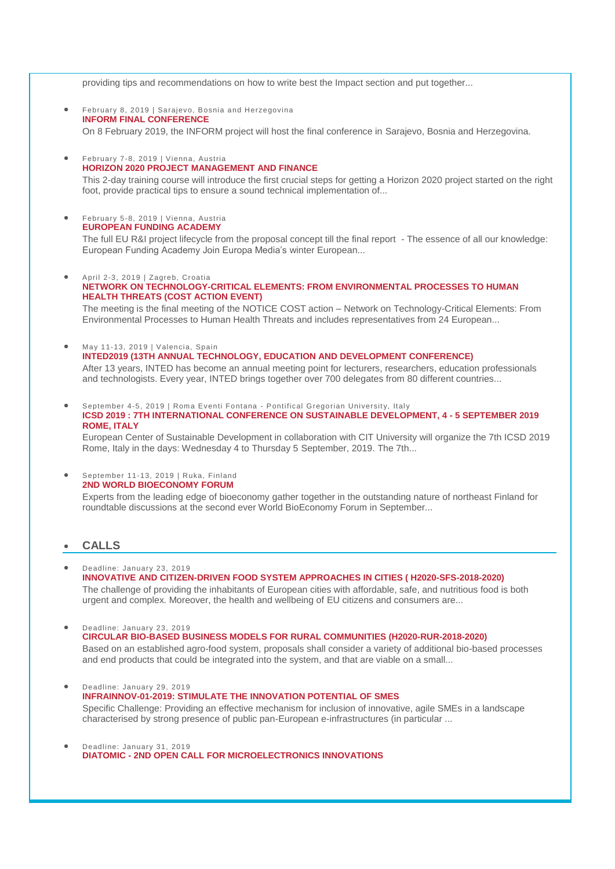providing tips and recommendations on how to write best the Impact section and put together...

- February 8, 2019 | Sarajevo, Bosnia and Herzegovina **[INFORM FINAL CONFERENCE](https://wbc-rti.info/object/event/17478)** On 8 February 2019, the INFORM project will host the final conference in Sarajevo, Bosnia and Herzegovina.
- February 7-8, 2019 | Vienna, Austria **[HORIZON 2020 PROJECT MANAGEMENT AND FINANCE](https://wbc-rti.info/object/event/19636)** This 2-day training course will introduce the first crucial steps for getting a Horizon 2020 project started on the right foot, provide practical tips to ensure a sound technical implementation of...

#### February 5-8, 2019 | Vienna, Austria **[EUROPEAN FUNDING ACADEMY](https://wbc-rti.info/object/event/19633)**

The full EU R&I project lifecycle from the proposal concept till the final report - The essence of all our knowledge: European Funding Academy Join Europa Media's winter European...

#### April 2-3, 2019 | Zagreb, Croatia

#### **[NETWORK ON TECHNOLOGY-CRITICAL ELEMENTS: FROM ENVIRONMENTAL PROCESSES TO HUMAN](https://wbc-rti.info/object/event/17917)  [HEALTH THREATS \(COST ACTION EVENT\)](https://wbc-rti.info/object/event/17917)**

The meeting is the final meeting of the NOTICE COST action – Network on Technology-Critical Elements: From Environmental Processes to Human Health Threats and includes representatives from 24 European...

May 11-13, 2019 | Valencia, Spain

**[INTED2019 \(13TH ANNUAL TECHNOLOGY, EDUCATION AND DEVELOPMENT CONFERENCE\)](https://wbc-rti.info/object/event/17495)** 

After 13 years, INTED has become an annual meeting point for lecturers, researchers, education professionals and technologists. Every year, INTED brings together over 700 delegates from 80 different countries...

 September 4-5, 2019 | Roma Eventi Fontana - Pontifical Gregorian University, Ital y **ICSD 2019 [: 7TH INTERNATIONAL CONFERENCE ON SUSTAINABLE DEVELOPMENT, 4 -](https://wbc-rti.info/object/event/16629) 5 SEPTEMBER 2019 [ROME, ITALY](https://wbc-rti.info/object/event/16629)**

European Center of Sustainable Development in collaboration with CIT University will organize the 7th ICSD 2019 Rome, Italy in the days: Wednesday 4 to Thursday 5 September, 2019. The 7th...

#### September 11-13, 2019 | Ruka, Finland **[2ND WORLD BIOECONOMY FORUM](https://wbc-rti.info/object/event/19601)**

Experts from the leading edge of bioeconomy gather together in the outstanding nature of northeast Finland for roundtable discussions at the second ever World BioEconomy Forum in September...

## **CALLS**

- Deadline: January 23, 2019 **[INNOVATIVE AND CITIZEN-DRIVEN FOOD SYSTEM APPROACHES IN CITIES \( H2020-SFS-2018-2020\)](https://wbc-rti.info/object/call/19626)** The challenge of providing the inhabitants of European cities with affordable, safe, and nutritious food is both urgent and complex. Moreover, the health and wellbeing of EU citizens and consumers are...
- Deadline: January 23, 2019 **[CIRCULAR BIO-BASED BUSINESS MODELS FOR RURAL COMMUNITIES \(H2020-RUR-2018-2020\)](https://wbc-rti.info/object/call/19620)** Based on an established agro-food system, proposals shall consider a variety of additional bio-based processes and end products that could be integrated into the system, and that are viable on a small...
- Deadline: January 29, 2019 **[INFRAINNOV-01-2019: STIMULATE THE INNOVATION POTENTIAL OF SMES](https://wbc-rti.info/object/call/16932)** Specific Challenge: Providing an effective mechanism for inclusion of innovative, agile SMEs in a landscape characterised by strong presence of public pan-European e-infrastructures (in particular ...
- Deadline: January 31, 2019 **DIATOMIC - [2ND OPEN CALL FOR MICROELECTRONICS INNOVATIONS](https://wbc-rti.info/object/call/19604)**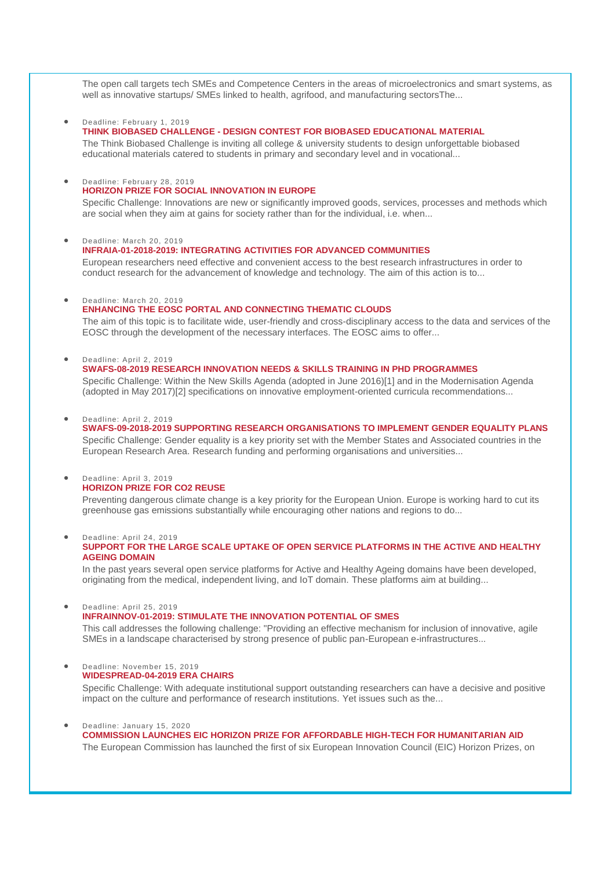The open call targets tech SMEs and Competence Centers in the areas of microelectronics and smart systems, as well as innovative startups/ SMEs linked to health, agrifood, and manufacturing sectorsThe...

Deadline: February 1, 2019

**THINK BIOBASED CHALLENGE - [DESIGN CONTEST FOR BIOBASED](https://wbc-rti.info/object/call/19612) EDUCATIONAL MATERIAL** 

The Think Biobased Challenge is inviting all college & university students to design unforgettable biobased educational materials catered to students in primary and secondary level and in vocational...

Deadline: February 28, 2019

#### **[HORIZON PRIZE FOR SOCIAL INNOVATION IN EUROPE](https://wbc-rti.info/object/call/19664)**

Specific Challenge: Innovations are new or significantly improved goods, services, processes and methods which are social when they aim at gains for society rather than for the individual, i.e. when...

 Deadline: March 20, 2019 **[INFRAIA-01-2018-2019: INTEGRATING ACTIVITIES FOR ADVANCED COMMUNITIES](https://wbc-rti.info/object/call/16934)**

European researchers need effective and convenient access to the best research infrastructures in order to conduct research for the advancement of knowledge and technology. The aim of this action is to...

Deadline: March 20, 2019

#### **[ENHANCING THE EOSC PORTAL AND CONNECTING THEMATIC CLOUDS](https://wbc-rti.info/object/call/17989)**

The aim of this topic is to facilitate wide, user-friendly and cross-disciplinary access to the data and services of the EOSC through the development of the necessary interfaces. The EOSC aims to offer...

Deadline: April 2, 2019

**[SWAFS-08-2019 RESEARCH INNOVATION NEEDS & SKILLS TRAINING IN PHD PROGRAMMES](https://wbc-rti.info/object/call/16621)**  Specific Challenge: Within the New Skills Agenda (adopted in June 2016)[1] and in the Modernisation Agenda (adopted in May 2017)[2] specifications on innovative employment-oriented curricula recommendations...

Deadline: April 2, 2019

**[SWAFS-09-2018-2019 SUPPORTING RESEARCH ORGANISATIONS TO IMPLEMENT GENDER EQUALITY PLANS](https://wbc-rti.info/object/call/16622)**  Specific Challenge: Gender equality is a key priority set with the Member States and Associated countries in the European Research Area. Research funding and performing organisations and universities...

#### Deadline: April 3, 2019 **[HORIZON PRIZE FOR CO2 REUSE](https://wbc-rti.info/object/call/17451)**

Preventing dangerous climate change is a key priority for the European Union. Europe is working hard to cut its greenhouse gas emissions substantially while encouraging other nations and regions to do...

Deadline: April 24, 2019

**[SUPPORT FOR THE LARGE SCALE UPTAKE OF OPEN SERVICE PLATFORMS IN THE ACTIVE AND HEALTHY](https://wbc-rti.info/object/call/17454)  [AGEING DOMAIN](https://wbc-rti.info/object/call/17454)** 

In the past years several open service platforms for Active and Healthy Ageing domains have been developed, originating from the medical, independent living, and IoT domain. These platforms aim at building...

Deadline: April 25, 2019

**[INFRAINNOV-01-2019: STIMULATE THE INNOVATION POTENTIAL OF SMES](https://wbc-rti.info/object/call/17987)**

This call addresses the following challenge: "Providing an effective mechanism for inclusion of innovative, agile SMEs in a landscape characterised by strong presence of public pan-European e-infrastructures...

#### Deadline: November 15, 2019 **[WIDESPREAD-04-2019 ERA CHAIRS](https://wbc-rti.info/object/call/16617)**

Specific Challenge: With adequate institutional support outstanding researchers can have a decisive and positive impact on the culture and performance of research institutions. Yet issues such as the...

 Deadline: January 15, 2020 **[COMMISSION LAUNCHES EIC HORIZON PRIZE FOR AFFORDABLE HIGH-TECH FOR HUMANITARIAN AID](https://wbc-rti.info/object/call/16702)** The European Commission has launched the first of six European Innovation Council (EIC) Horizon Prizes, on